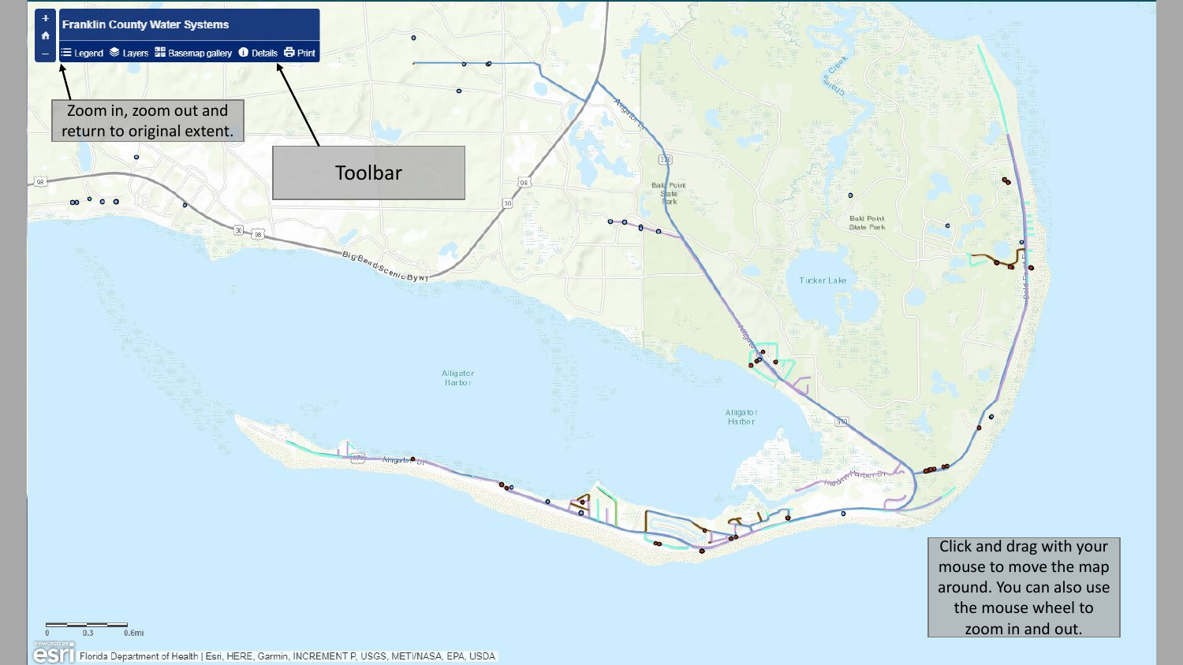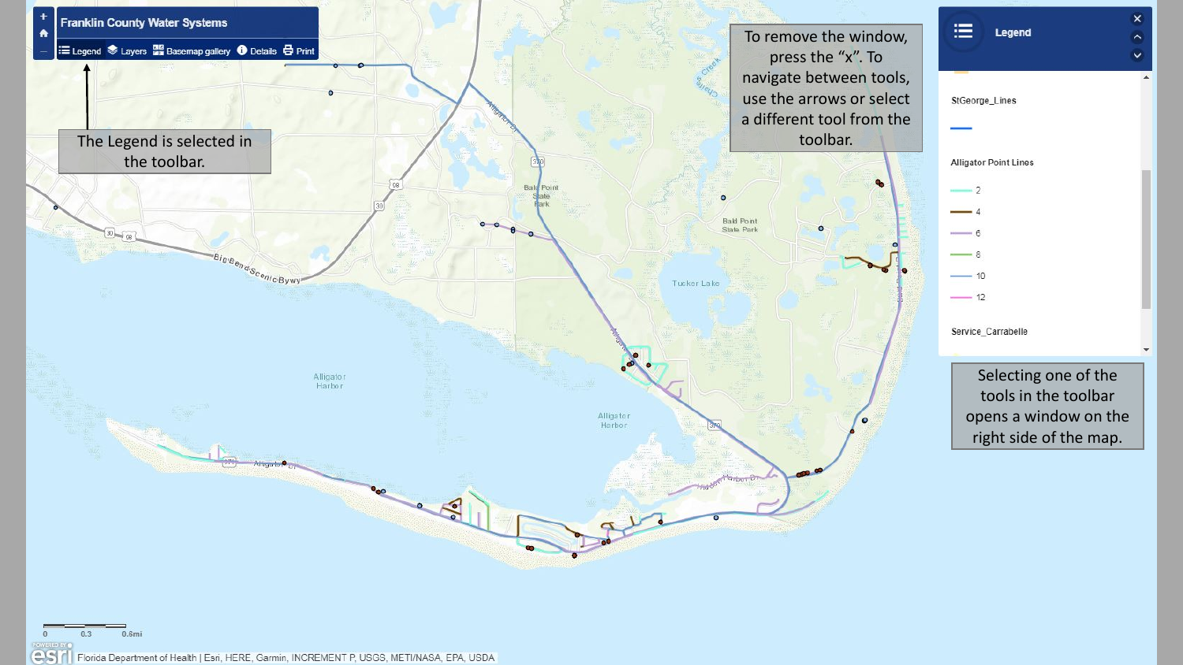

COST Florida Department of Health | Esri, HERE, Garmin, INCREMENT P, USGS, METI/NASA, EPA, USDA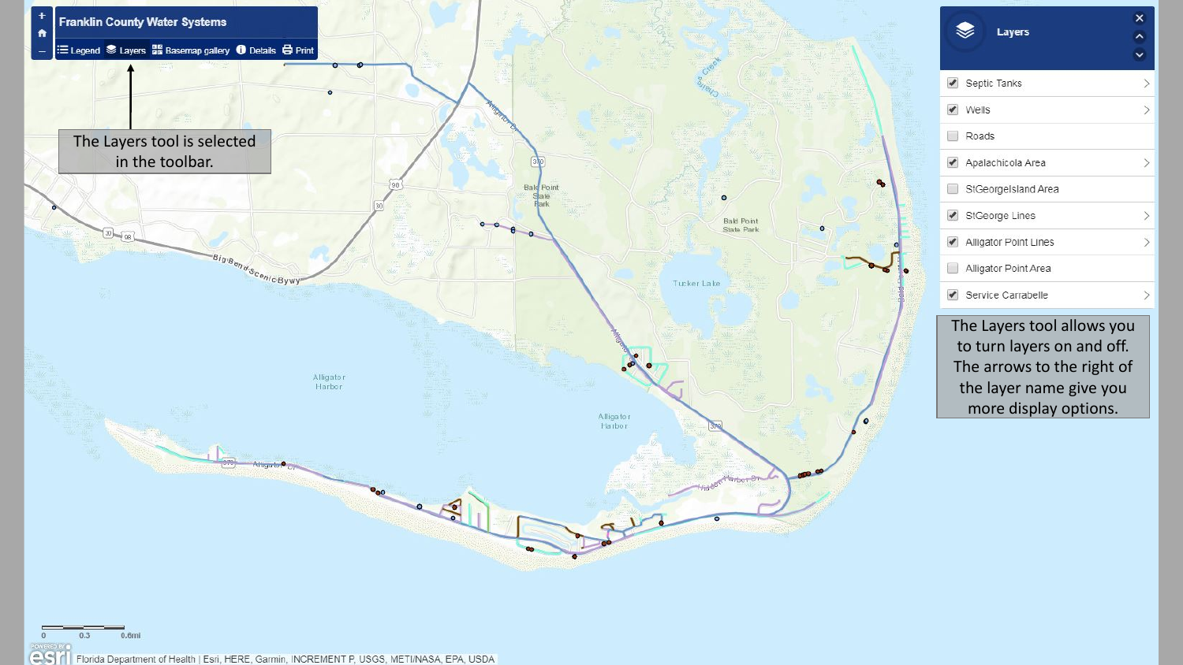

| <b>Layers</b>         | × |
|-----------------------|---|
| Septic Tanks          |   |
| Wells                 | ⇒ |
| Roads<br>۰            |   |
| Apalachicola Area     |   |
| StGeorgelsland Area   |   |
| StGeorge Lines        |   |
| Alligator Point Lines |   |
| Alligator Point Area  |   |
| Service Carrabelle    |   |

The Layers tool allows you to turn layers on and off. The arrows to the right of the layer name give you more display options.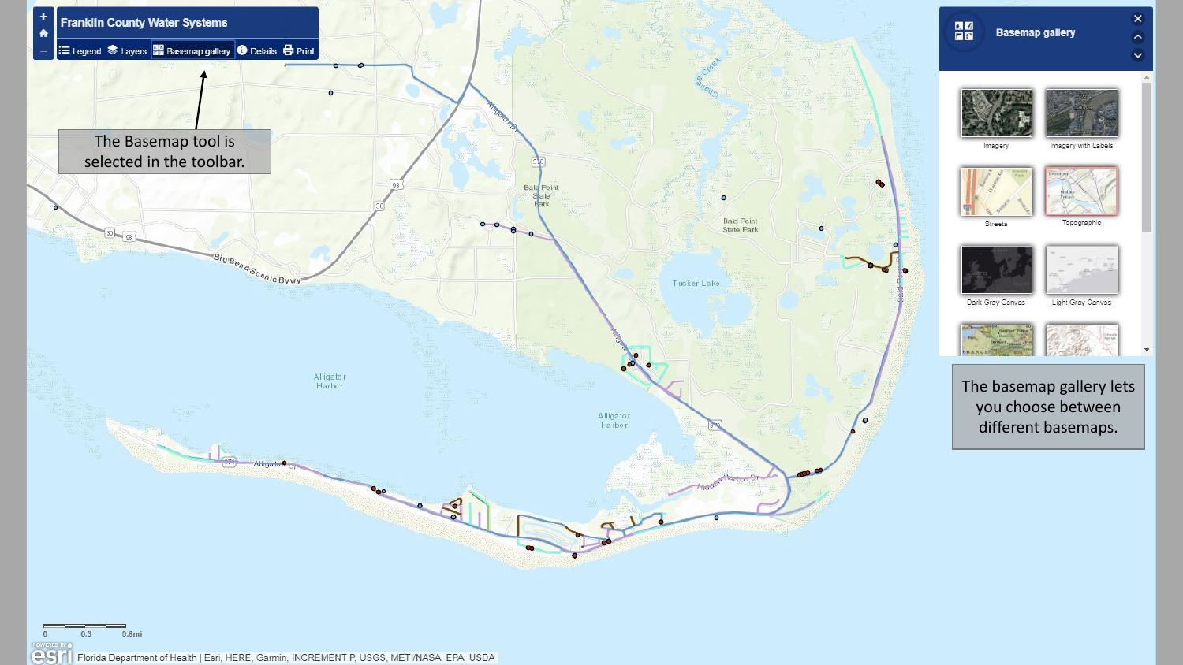

 $\boldsymbol{\times}$ 

 $\sim$ 

 $\checkmark$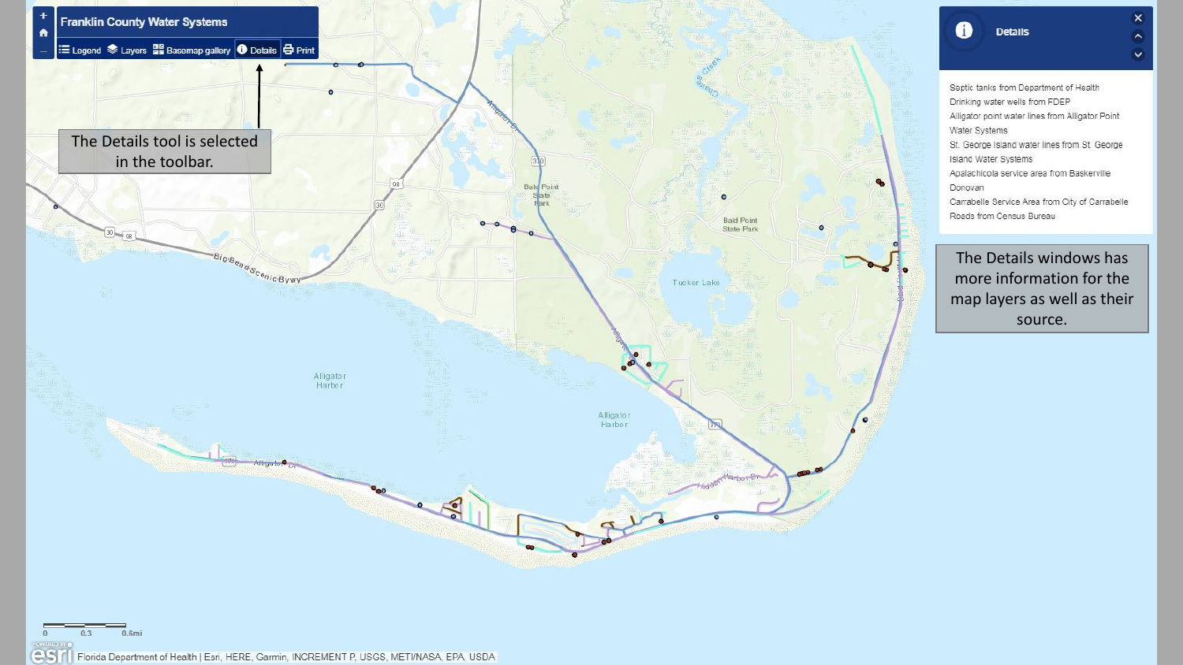

## $\vee$ Septic tanks from Department of Health Drinking water wells from FDEP Alligator point water lines from Alligator Point Water Systems St. George Island water lines from St. George Island Water Systems Apalachicola service area from Baskerville Donovan Carrabelle Service Area from City of Carrabelle Roads from Census Bureau

6

**Details** 

 $\boldsymbol{\times}$ 

 $\sim$ 

The Details windows has more information for the map layers as well as their source.

esifi Florida Department of Health | Esri, HERE, Garmin, INCREMENT P, USGS, METI/NASA, EPA, USDA